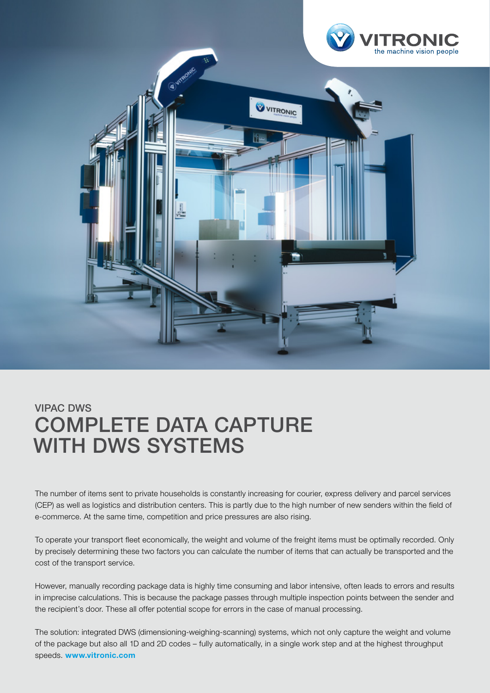

## VIPAC DWS COMPLETE DATA CAPTURE WITH DWS SYSTEMS

The number of items sent to private households is constantly increasing for courier, express delivery and parcel services (CEP) as well as logistics and distribution centers. This is partly due to the high number of new senders within the field of e-commerce. At the same time, competition and price pressures are also rising.

To operate your transport fleet economically, the weight and volume of the freight items must be optimally recorded. Only by precisely determining these two factors you can calculate the number of items that can actually be transported and the cost of the transport service.

However, manually recording package data is highly time consuming and labor intensive, often leads to errors and results in imprecise calculations. This is because the package passes through multiple inspection points between the sender and the recipient's door. These all offer potential scope for errors in the case of manual processing.

The solution: integrated DWS (dimensioning-weighing-scanning) systems, which not only capture the weight and volume of the package but also all 1D and 2D codes – fully automatically, in a single work step and at the highest throughput speeds. www.vitronic.com